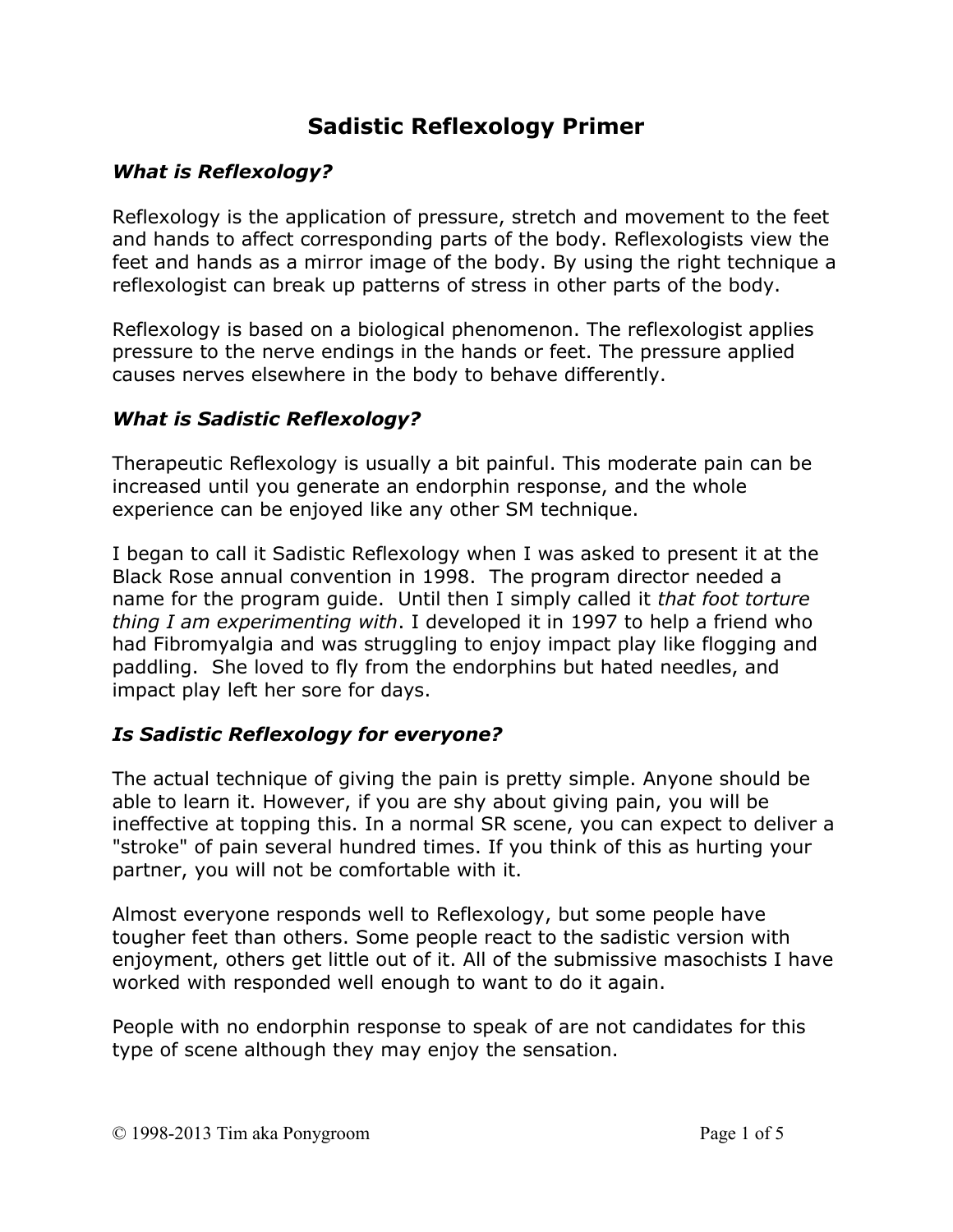# **Sadistic Reflexology Primer**

# *What is Reflexology?*

Reflexology is the application of pressure, stretch and movement to the feet and hands to affect corresponding parts of the body. Reflexologists view the feet and hands as a mirror image of the body. By using the right technique a reflexologist can break up patterns of stress in other parts of the body.

Reflexology is based on a biological phenomenon. The reflexologist applies pressure to the nerve endings in the hands or feet. The pressure applied causes nerves elsewhere in the body to behave differently.

# *What is Sadistic Reflexology?*

Therapeutic Reflexology is usually a bit painful. This moderate pain can be increased until you generate an endorphin response, and the whole experience can be enjoyed like any other SM technique.

I began to call it Sadistic Reflexology when I was asked to present it at the Black Rose annual convention in 1998. The program director needed a name for the program guide. Until then I simply called it *that foot torture thing I am experimenting with*. I developed it in 1997 to help a friend who had Fibromyalgia and was struggling to enjoy impact play like flogging and paddling. She loved to fly from the endorphins but hated needles, and impact play left her sore for days.

# *Is Sadistic Reflexology for everyone?*

The actual technique of giving the pain is pretty simple. Anyone should be able to learn it. However, if you are shy about giving pain, you will be ineffective at topping this. In a normal SR scene, you can expect to deliver a "stroke" of pain several hundred times. If you think of this as hurting your partner, you will not be comfortable with it.

Almost everyone responds well to Reflexology, but some people have tougher feet than others. Some people react to the sadistic version with enjoyment, others get little out of it. All of the submissive masochists I have worked with responded well enough to want to do it again.

People with no endorphin response to speak of are not candidates for this type of scene although they may enjoy the sensation.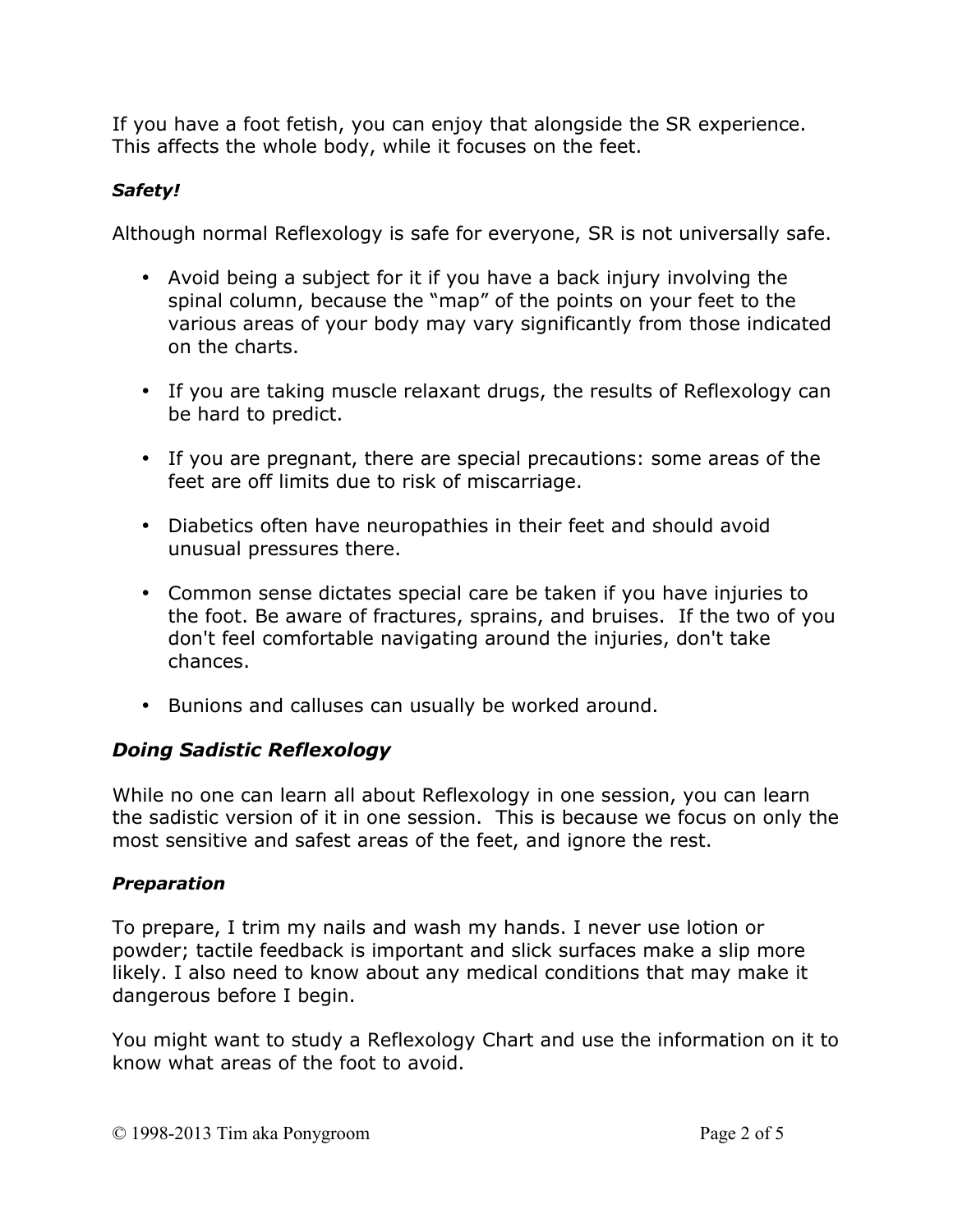If you have a foot fetish, you can enjoy that alongside the SR experience. This affects the whole body, while it focuses on the feet.

# *Safety!*

Although normal Reflexology is safe for everyone, SR is not universally safe.

- Avoid being a subject for it if you have a back injury involving the spinal column, because the "map" of the points on your feet to the various areas of your body may vary significantly from those indicated on the charts.
- If you are taking muscle relaxant drugs, the results of Reflexology can be hard to predict.
- If you are pregnant, there are special precautions: some areas of the feet are off limits due to risk of miscarriage.
- Diabetics often have neuropathies in their feet and should avoid unusual pressures there.
- Common sense dictates special care be taken if you have injuries to the foot. Be aware of fractures, sprains, and bruises. If the two of you don't feel comfortable navigating around the injuries, don't take chances.
- Bunions and calluses can usually be worked around.

# *Doing Sadistic Reflexology*

While no one can learn all about Reflexology in one session, you can learn the sadistic version of it in one session. This is because we focus on only the most sensitive and safest areas of the feet, and ignore the rest.

# *Preparation*

To prepare, I trim my nails and wash my hands. I never use lotion or powder; tactile feedback is important and slick surfaces make a slip more likely. I also need to know about any medical conditions that may make it dangerous before I begin.

You might want to study a Reflexology Chart and use the information on it to know what areas of the foot to avoid.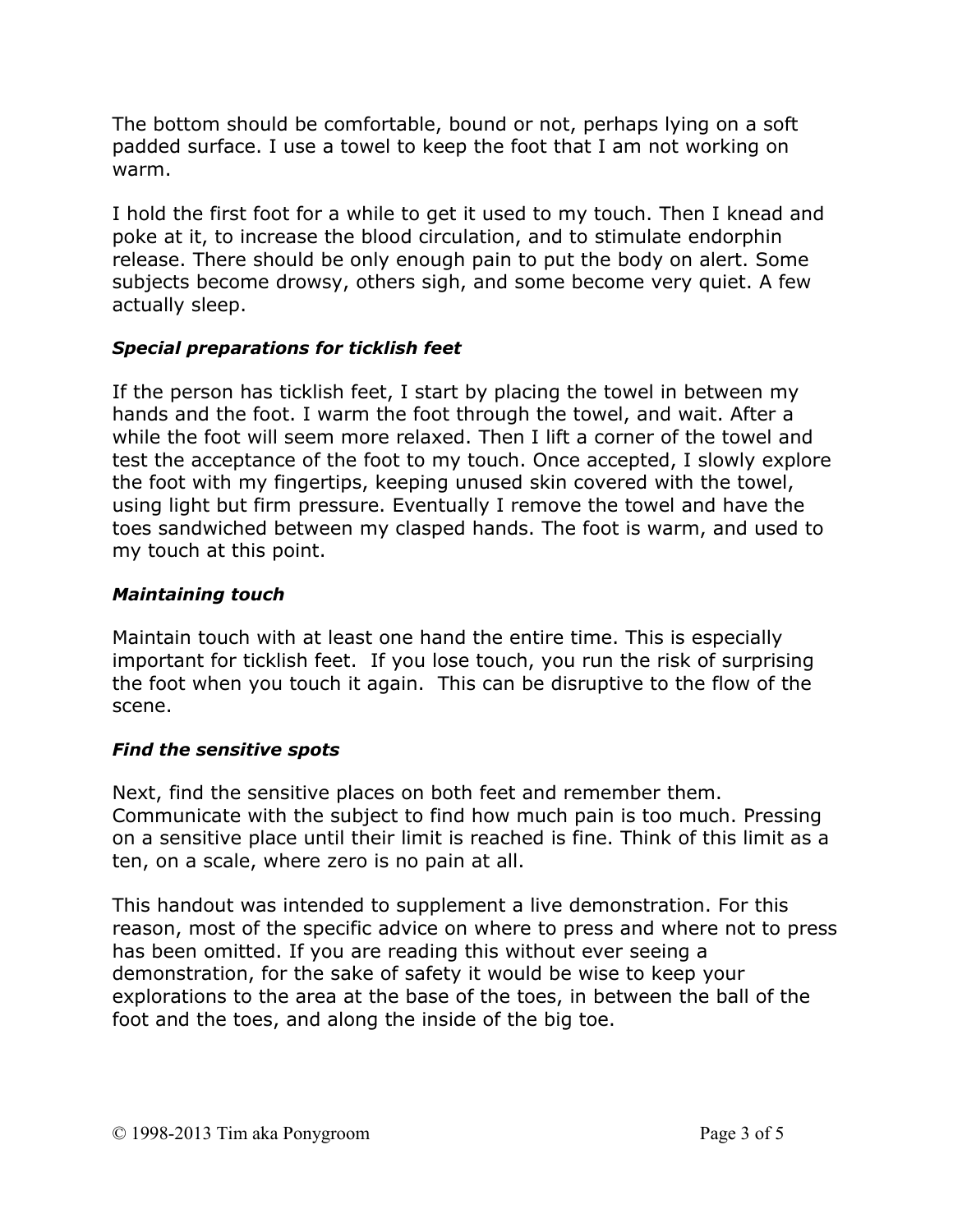The bottom should be comfortable, bound or not, perhaps lying on a soft padded surface. I use a towel to keep the foot that I am not working on warm.

I hold the first foot for a while to get it used to my touch. Then I knead and poke at it, to increase the blood circulation, and to stimulate endorphin release. There should be only enough pain to put the body on alert. Some subjects become drowsy, others sigh, and some become very quiet. A few actually sleep.

#### *Special preparations for ticklish feet*

If the person has ticklish feet, I start by placing the towel in between my hands and the foot. I warm the foot through the towel, and wait. After a while the foot will seem more relaxed. Then I lift a corner of the towel and test the acceptance of the foot to my touch. Once accepted, I slowly explore the foot with my fingertips, keeping unused skin covered with the towel, using light but firm pressure. Eventually I remove the towel and have the toes sandwiched between my clasped hands. The foot is warm, and used to my touch at this point.

#### *Maintaining touch*

Maintain touch with at least one hand the entire time. This is especially important for ticklish feet. If you lose touch, you run the risk of surprising the foot when you touch it again. This can be disruptive to the flow of the scene.

#### *Find the sensitive spots*

Next, find the sensitive places on both feet and remember them. Communicate with the subject to find how much pain is too much. Pressing on a sensitive place until their limit is reached is fine. Think of this limit as a ten, on a scale, where zero is no pain at all.

This handout was intended to supplement a live demonstration. For this reason, most of the specific advice on where to press and where not to press has been omitted. If you are reading this without ever seeing a demonstration, for the sake of safety it would be wise to keep your explorations to the area at the base of the toes, in between the ball of the foot and the toes, and along the inside of the big toe.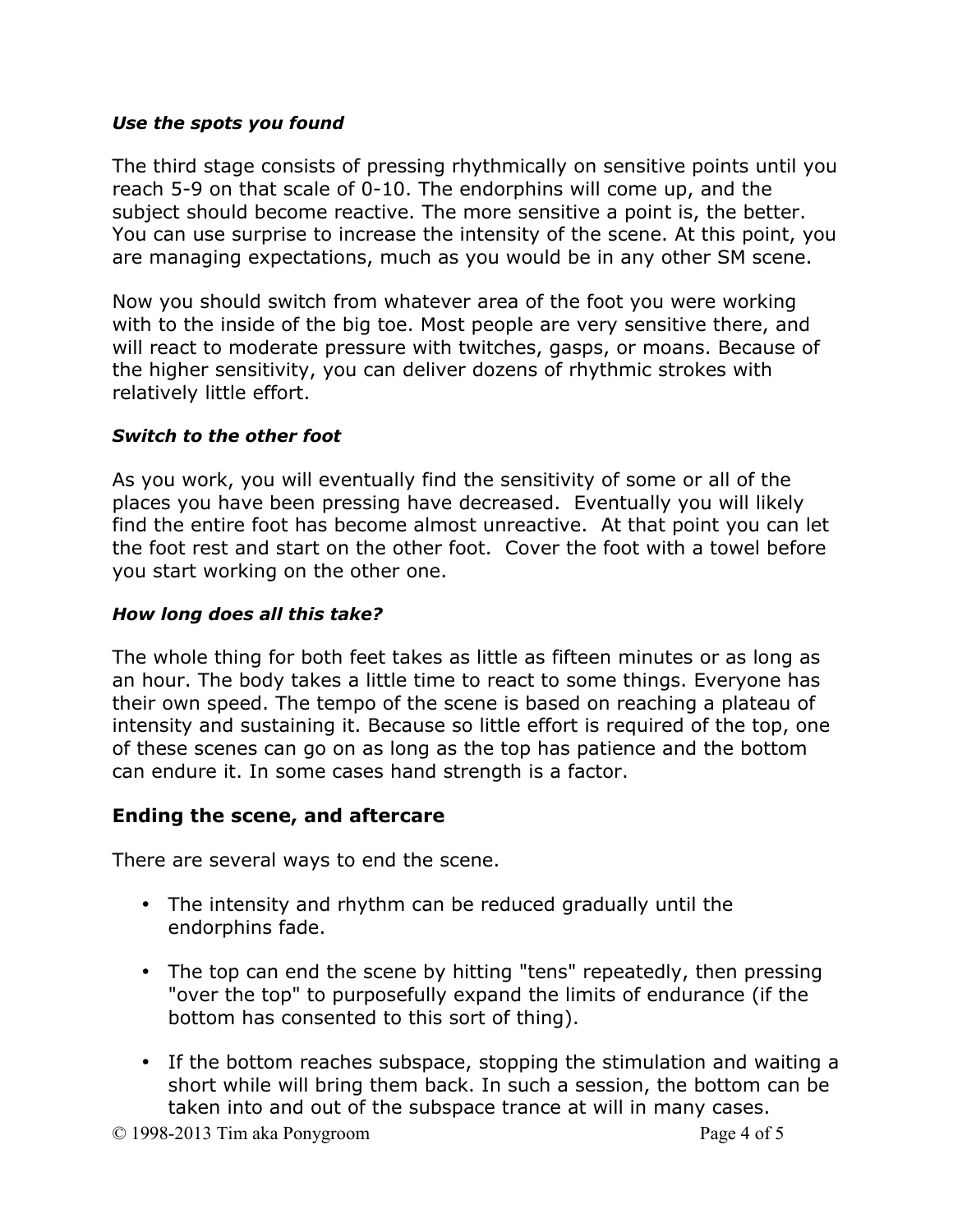#### *Use the spots you found*

The third stage consists of pressing rhythmically on sensitive points until you reach 5-9 on that scale of 0-10. The endorphins will come up, and the subject should become reactive. The more sensitive a point is, the better. You can use surprise to increase the intensity of the scene. At this point, you are managing expectations, much as you would be in any other SM scene.

Now you should switch from whatever area of the foot you were working with to the inside of the big toe. Most people are very sensitive there, and will react to moderate pressure with twitches, gasps, or moans. Because of the higher sensitivity, you can deliver dozens of rhythmic strokes with relatively little effort.

#### *Switch to the other foot*

As you work, you will eventually find the sensitivity of some or all of the places you have been pressing have decreased. Eventually you will likely find the entire foot has become almost unreactive. At that point you can let the foot rest and start on the other foot. Cover the foot with a towel before you start working on the other one.

#### *How long does all this take?*

The whole thing for both feet takes as little as fifteen minutes or as long as an hour. The body takes a little time to react to some things. Everyone has their own speed. The tempo of the scene is based on reaching a plateau of intensity and sustaining it. Because so little effort is required of the top, one of these scenes can go on as long as the top has patience and the bottom can endure it. In some cases hand strength is a factor.

# **Ending the scene, and aftercare**

There are several ways to end the scene.

- The intensity and rhythm can be reduced gradually until the endorphins fade.
- The top can end the scene by hitting "tens" repeatedly, then pressing "over the top" to purposefully expand the limits of endurance (if the bottom has consented to this sort of thing).
- If the bottom reaches subspace, stopping the stimulation and waiting a short while will bring them back. In such a session, the bottom can be taken into and out of the subspace trance at will in many cases.